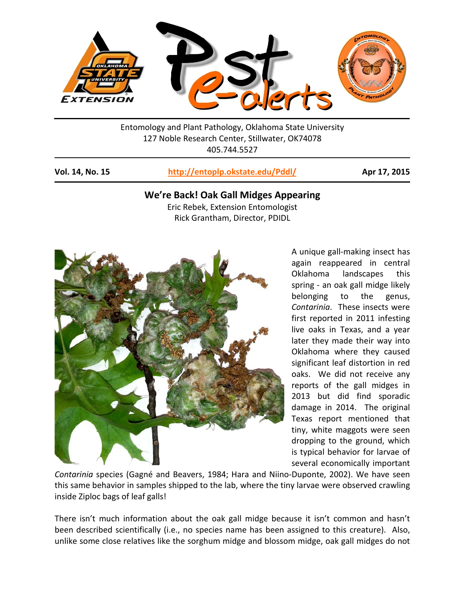

Entomology and Plant Pathology, Oklahoma State University 127 Noble Research Center, Stillwater, OK74078 405.744.5527

**Vol. 14, No. 15 <http://entoplp.okstate.edu/Pddl/> Apr 17, 2015**

# **We're Back! Oak Gall Midges Appearing**

Eric Rebek, Extension Entomologist Rick Grantham, Director, PDIDL



A unique gall-making insect has again reappeared in central Oklahoma landscapes this spring - an oak gall midge likely belonging to the genus, *Contarinia*. These insects were first reported in 2011 infesting live oaks in Texas, and a year later they made their way into Oklahoma where they caused significant leaf distortion in red oaks. We did not receive any reports of the gall midges in 2013 but did find sporadic damage in 2014. The original Texas report mentioned that tiny, white maggots were seen dropping to the ground, which is typical behavior for larvae of several economically important

*Contarinia* species (Gagné and Beavers, 1984; Hara and Niino-Duponte, 2002). We have seen this same behavior in samples shipped to the lab, where the tiny larvae were observed crawling inside Ziploc bags of leaf galls!

There isn't much information about the oak gall midge because it isn't common and hasn't been described scientifically (i.e., no species name has been assigned to this creature). Also, unlike some close relatives like the sorghum midge and blossom midge, oak gall midges do not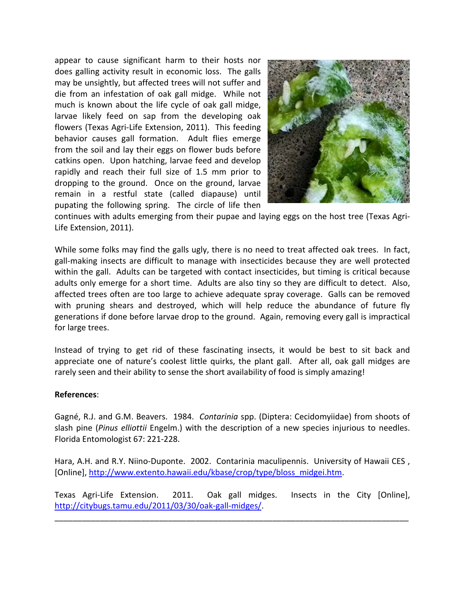appear to cause significant harm to their hosts nor does galling activity result in economic loss. The galls may be unsightly, but affected trees will not suffer and die from an infestation of oak gall midge. While not much is known about the life cycle of oak gall midge, larvae likely feed on sap from the developing oak flowers (Texas Agri-Life Extension, 2011). This feeding behavior causes gall formation. Adult flies emerge from the soil and lay their eggs on flower buds before catkins open. Upon hatching, larvae feed and develop rapidly and reach their full size of 1.5 mm prior to dropping to the ground. Once on the ground, larvae remain in a restful state (called diapause) until pupating the following spring. The circle of life then



continues with adults emerging from their pupae and laying eggs on the host tree (Texas Agri-Life Extension, 2011).

While some folks may find the galls ugly, there is no need to treat affected oak trees. In fact, gall-making insects are difficult to manage with insecticides because they are well protected within the gall. Adults can be targeted with contact insecticides, but timing is critical because adults only emerge for a short time. Adults are also tiny so they are difficult to detect. Also, affected trees often are too large to achieve adequate spray coverage. Galls can be removed with pruning shears and destroyed, which will help reduce the abundance of future fly generations if done before larvae drop to the ground. Again, removing every gall is impractical for large trees.

Instead of trying to get rid of these fascinating insects, it would be best to sit back and appreciate one of nature's coolest little quirks, the plant gall. After all, oak gall midges are rarely seen and their ability to sense the short availability of food is simply amazing!

## **References**:

Gagné, R.J. and G.M. Beavers. 1984. *Contarinia* spp. (Diptera: Cecidomyiidae) from shoots of slash pine (*Pinus elliottii* Engelm.) with the description of a new species injurious to needles. Florida Entomologist 67: 221-228.

Hara, A.H. and R.Y. Niino-Duponte. 2002. Contarinia maculipennis. University of Hawaii CES , [Online], [http://www.extento.hawaii.edu/kbase/crop/type/bloss\\_midgei.htm.](http://www.extento.hawaii.edu/kbase/crop/type/bloss_midgei.htm)

Texas Agri-Life Extension. 2011. Oak gall midges. Insects in the City [Online], [http://citybugs.tamu.edu/2011/03/30/oak-gall-midges/.](http://citybugs.tamu.edu/2011/03/30/oak-gall-midges/)

\_\_\_\_\_\_\_\_\_\_\_\_\_\_\_\_\_\_\_\_\_\_\_\_\_\_\_\_\_\_\_\_\_\_\_\_\_\_\_\_\_\_\_\_\_\_\_\_\_\_\_\_\_\_\_\_\_\_\_\_\_\_\_\_\_\_\_\_\_\_\_\_\_\_\_\_\_\_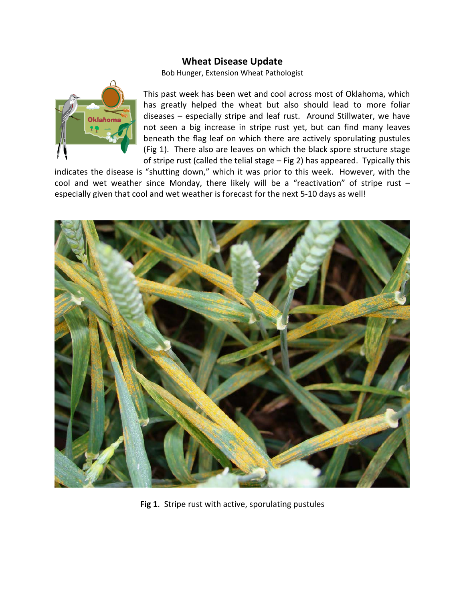# **Wheat Disease Update**

Bob Hunger, Extension Wheat Pathologist



This past week has been wet and cool across most of Oklahoma, which has greatly helped the wheat but also should lead to more foliar diseases – especially stripe and leaf rust. Around Stillwater, we have not seen a big increase in stripe rust yet, but can find many leaves beneath the flag leaf on which there are actively sporulating pustules (Fig 1). There also are leaves on which the black spore structure stage of stripe rust (called the telial stage – Fig 2) has appeared. Typically this

indicates the disease is "shutting down," which it was prior to this week. However, with the cool and wet weather since Monday, there likely will be a "reactivation" of stripe rust – especially given that cool and wet weather is forecast for the next 5-10 days as well!



**Fig 1**. Stripe rust with active, sporulating pustules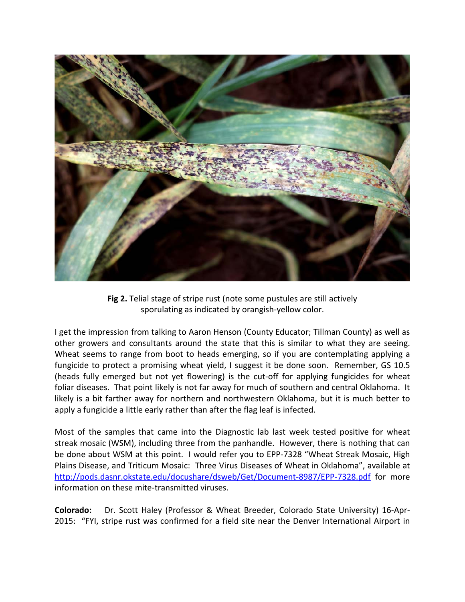

**Fig 2.** Telial stage of stripe rust (note some pustules are still actively sporulating as indicated by orangish-yellow color.

I get the impression from talking to Aaron Henson (County Educator; Tillman County) as well as other growers and consultants around the state that this is similar to what they are seeing. Wheat seems to range from boot to heads emerging, so if you are contemplating applying a fungicide to protect a promising wheat yield, I suggest it be done soon. Remember, GS 10.5 (heads fully emerged but not yet flowering) is the cut-off for applying fungicides for wheat foliar diseases. That point likely is not far away for much of southern and central Oklahoma. It likely is a bit farther away for northern and northwestern Oklahoma, but it is much better to apply a fungicide a little early rather than after the flag leaf is infected.

Most of the samples that came into the Diagnostic lab last week tested positive for wheat streak mosaic (WSM), including three from the panhandle. However, there is nothing that can be done about WSM at this point. I would refer you to EPP-7328 "Wheat Streak Mosaic, High Plains Disease, and Triticum Mosaic: Three Virus Diseases of Wheat in Oklahoma", available at <http://pods.dasnr.okstate.edu/docushare/dsweb/Get/Document-8987/EPP-7328.pdf> for more information on these mite-transmitted viruses.

**Colorado:** Dr. Scott Haley (Professor & Wheat Breeder, Colorado State University) 16-Apr-2015: "FYI, stripe rust was confirmed for a field site near the Denver International Airport in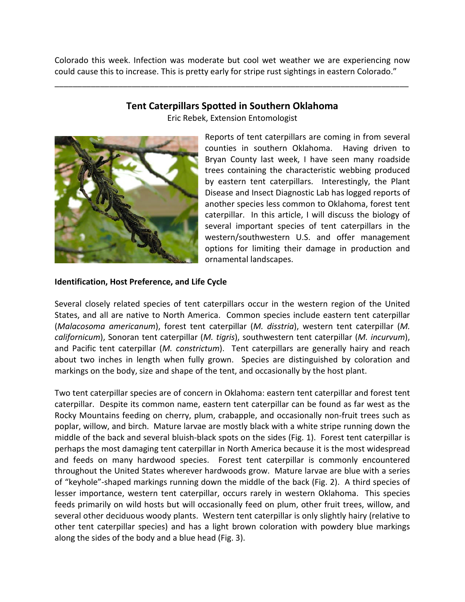Colorado this week. Infection was moderate but cool wet weather we are experiencing now could cause this to increase. This is pretty early for stripe rust sightings in eastern Colorado."

**Tent Caterpillars Spotted in Southern Oklahoma** 

\_\_\_\_\_\_\_\_\_\_\_\_\_\_\_\_\_\_\_\_\_\_\_\_\_\_\_\_\_\_\_\_\_\_\_\_\_\_\_\_\_\_\_\_\_\_\_\_\_\_\_\_\_\_\_\_\_\_\_\_\_\_\_\_\_\_\_\_\_\_\_\_\_\_\_\_\_\_



Eric Rebek, Extension Entomologist

Reports of tent caterpillars are coming in from several counties in southern Oklahoma. Having driven to Bryan County last week, I have seen many roadside trees containing the characteristic webbing produced by eastern tent caterpillars. Interestingly, the Plant Disease and Insect Diagnostic Lab has logged reports of another species less common to Oklahoma, forest tent caterpillar. In this article, I will discuss the biology of several important species of tent caterpillars in the western/southwestern U.S. and offer management options for limiting their damage in production and ornamental landscapes.

# **Identification, Host Preference, and Life Cycle**

Several closely related species of tent caterpillars occur in the western region of the United States, and all are native to North America. Common species include eastern tent caterpillar (*Malacosoma americanum*), forest tent caterpillar (*M. disstria*), western tent caterpillar (*M. californicum*), Sonoran tent caterpillar (*M. tigris*), southwestern tent caterpillar (*M. incurvum*), and Pacific tent caterpillar (*M. constrictum*). Tent caterpillars are generally hairy and reach about two inches in length when fully grown. Species are distinguished by coloration and markings on the body, size and shape of the tent, and occasionally by the host plant.

Two tent caterpillar species are of concern in Oklahoma: eastern tent caterpillar and forest tent caterpillar. Despite its common name, eastern tent caterpillar can be found as far west as the Rocky Mountains feeding on cherry, plum, crabapple, and occasionally non-fruit trees such as poplar, willow, and birch. Mature larvae are mostly black with a white stripe running down the middle of the back and several bluish-black spots on the sides (Fig. 1). Forest tent caterpillar is perhaps the most damaging tent caterpillar in North America because it is the most widespread and feeds on many hardwood species. Forest tent caterpillar is commonly encountered throughout the United States wherever hardwoods grow. Mature larvae are blue with a series of "keyhole"-shaped markings running down the middle of the back (Fig. 2). A third species of lesser importance, western tent caterpillar, occurs rarely in western Oklahoma. This species feeds primarily on wild hosts but will occasionally feed on plum, other fruit trees, willow, and several other deciduous woody plants. Western tent caterpillar is only slightly hairy (relative to other tent caterpillar species) and has a light brown coloration with powdery blue markings along the sides of the body and a blue head (Fig. 3).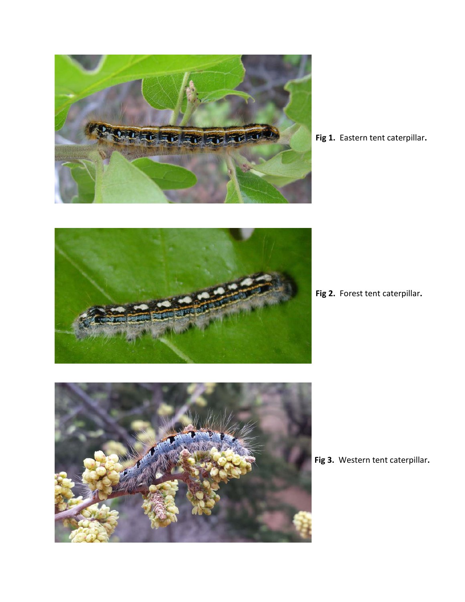

**Fig 1.** Eastern tent caterpillar**.**



**Fig 2.** Forest tent caterpillar**.**



**Fig 3.** Western tent caterpillar**.**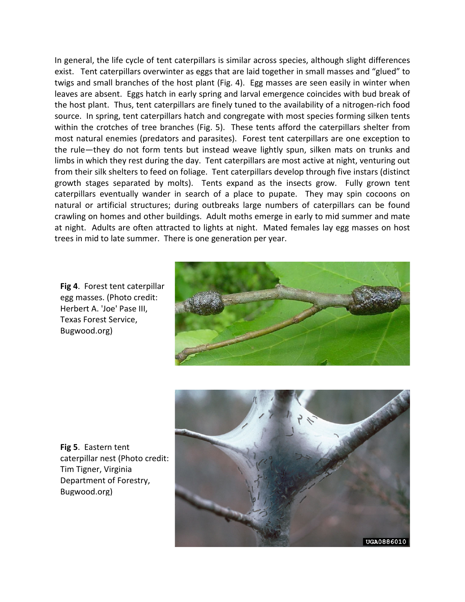In general, the life cycle of tent caterpillars is similar across species, although slight differences exist. Tent caterpillars overwinter as eggs that are laid together in small masses and "glued" to twigs and small branches of the host plant (Fig. 4). Egg masses are seen easily in winter when leaves are absent. Eggs hatch in early spring and larval emergence coincides with bud break of the host plant. Thus, tent caterpillars are finely tuned to the availability of a nitrogen-rich food source. In spring, tent caterpillars hatch and congregate with most species forming silken tents within the crotches of tree branches (Fig. 5). These tents afford the caterpillars shelter from most natural enemies (predators and parasites). Forest tent caterpillars are one exception to the rule—they do not form tents but instead weave lightly spun, silken mats on trunks and limbs in which they rest during the day. Tent caterpillars are most active at night, venturing out from their silk shelters to feed on foliage. Tent caterpillars develop through five instars (distinct growth stages separated by molts). Tents expand as the insects grow. Fully grown tent caterpillars eventually wander in search of a place to pupate. They may spin cocoons on natural or artificial structures; during outbreaks large numbers of caterpillars can be found crawling on homes and other buildings. Adult moths emerge in early to mid summer and mate at night. Adults are often attracted to lights at night. Mated females lay egg masses on host trees in mid to late summer. There is one generation per year.

**Fig 4**. Forest tent caterpillar egg masses. (Photo credit: Herbert A. 'Joe' Pase III, Texas Forest Service, Bugwood.org)



**Fig 5**. Eastern tent caterpillar nest (Photo credit: Tim Tigner, Virginia Department of Forestry, Bugwood.org)

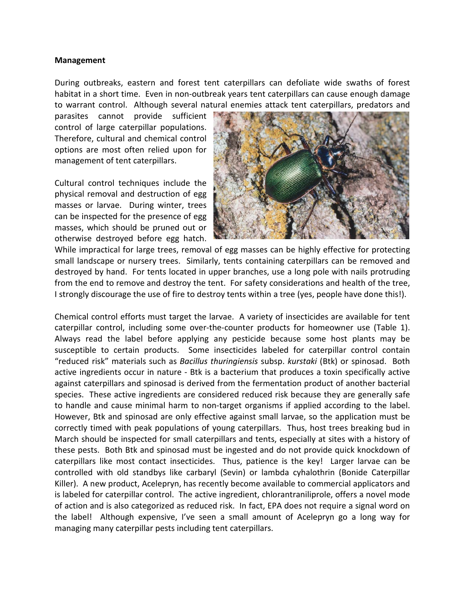## **Management**

During outbreaks, eastern and forest tent caterpillars can defoliate wide swaths of forest habitat in a short time. Even in non-outbreak years tent caterpillars can cause enough damage to warrant control. Although several natural enemies attack tent caterpillars, predators and

parasites cannot provide sufficient control of large caterpillar populations. Therefore, cultural and chemical control options are most often relied upon for management of tent caterpillars.

Cultural control techniques include the physical removal and destruction of egg masses or larvae. During winter, trees can be inspected for the presence of egg masses, which should be pruned out or otherwise destroyed before egg hatch.



While impractical for large trees, removal of egg masses can be highly effective for protecting small landscape or nursery trees. Similarly, tents containing caterpillars can be removed and destroyed by hand. For tents located in upper branches, use a long pole with nails protruding from the end to remove and destroy the tent. For safety considerations and health of the tree, I strongly discourage the use of fire to destroy tents within a tree (yes, people have done this!).

Chemical control efforts must target the larvae. A variety of insecticides are available for tent caterpillar control, including some over-the-counter products for homeowner use (Table 1). Always read the label before applying any pesticide because some host plants may be susceptible to certain products. Some insecticides labeled for caterpillar control contain "reduced risk" materials such as *Bacillus thuringiensis* subsp. *kurstaki* (Btk) or spinosad. Both active ingredients occur in nature - Btk is a bacterium that produces a toxin specifically active against caterpillars and spinosad is derived from the fermentation product of another bacterial species. These active ingredients are considered reduced risk because they are generally safe to handle and cause minimal harm to non-target organisms if applied according to the label. However, Btk and spinosad are only effective against small larvae, so the application must be correctly timed with peak populations of young caterpillars. Thus, host trees breaking bud in March should be inspected for small caterpillars and tents, especially at sites with a history of these pests. Both Btk and spinosad must be ingested and do not provide quick knockdown of caterpillars like most contact insecticides. Thus, patience is the key! Larger larvae can be controlled with old standbys like carbaryl (Sevin) or lambda cyhalothrin (Bonide Caterpillar Killer). A new product, Acelepryn, has recently become available to commercial applicators and is labeled for caterpillar control. The active ingredient, chlorantraniliprole, offers a novel mode of action and is also categorized as reduced risk. In fact, EPA does not require a signal word on the label! Although expensive, I've seen a small amount of Acelepryn go a long way for managing many caterpillar pests including tent caterpillars.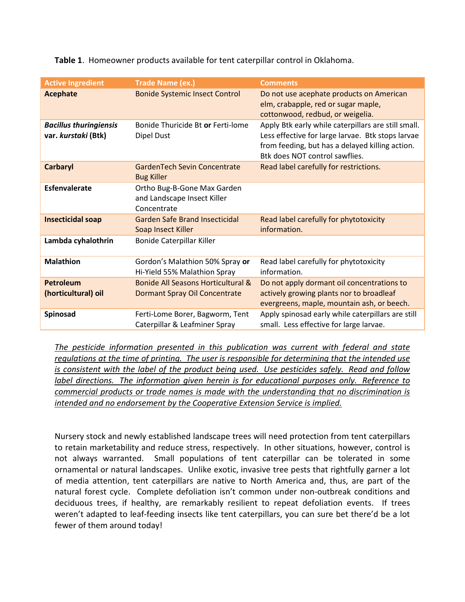**Table 1**. Homeowner products available for tent caterpillar control in Oklahoma.

| <b>Active Ingredient</b>                             | <b>Trade Name (ex.)</b>                                                   | <b>Comments</b>                                                                                                                                                                               |
|------------------------------------------------------|---------------------------------------------------------------------------|-----------------------------------------------------------------------------------------------------------------------------------------------------------------------------------------------|
| <b>Acephate</b>                                      | <b>Bonide Systemic Insect Control</b>                                     | Do not use acephate products on American<br>elm, crabapple, red or sugar maple,<br>cottonwood, redbud, or weigelia.                                                                           |
| <b>Bacillus thuringiensis</b><br>var. kurstaki (Btk) | Bonide Thuricide Bt or Ferti-lome<br>Dipel Dust                           | Apply Btk early while caterpillars are still small.<br>Less effective for large larvae. Btk stops larvae<br>from feeding, but has a delayed killing action.<br>Btk does NOT control sawflies. |
| <b>Carbaryl</b>                                      | <b>GardenTech Sevin Concentrate</b><br><b>Bug Killer</b>                  | Read label carefully for restrictions.                                                                                                                                                        |
| <b>Esfenvalerate</b>                                 | Ortho Bug-B-Gone Max Garden<br>and Landscape Insect Killer<br>Concentrate |                                                                                                                                                                                               |
| <b>Insecticidal soap</b>                             | <b>Garden Safe Brand Insecticidal</b><br>Soap Insect Killer               | Read label carefully for phytotoxicity<br>information.                                                                                                                                        |
| Lambda cyhalothrin                                   | Bonide Caterpillar Killer                                                 |                                                                                                                                                                                               |
| <b>Malathion</b>                                     | Gordon's Malathion 50% Spray or<br>Hi-Yield 55% Malathion Spray           | Read label carefully for phytotoxicity<br>information.                                                                                                                                        |
| <b>Petroleum</b><br>(horticultural) oil              | Bonide All Seasons Horticultural &<br>Dormant Spray Oil Concentrate       | Do not apply dormant oil concentrations to<br>actively growing plants nor to broadleaf<br>evergreens, maple, mountain ash, or beech.                                                          |
| Spinosad                                             | Ferti-Lome Borer, Bagworm, Tent<br>Caterpillar & Leafminer Spray          | Apply spinosad early while caterpillars are still<br>small. Less effective for large larvae.                                                                                                  |

*The pesticide information presented in this publication was current with federal and state regulations at the time of printing. The user is responsible for determining that the intended use is consistent with the label of the product being used. Use pesticides safely. Read and follow label directions. The information given herein is for educational purposes only. Reference to commercial products or trade names is made with the understanding that no discrimination is intended and no endorsement by the Cooperative Extension Service is implied.*

Nursery stock and newly established landscape trees will need protection from tent caterpillars to retain marketability and reduce stress, respectively. In other situations, however, control is not always warranted. Small populations of tent caterpillar can be tolerated in some ornamental or natural landscapes. Unlike exotic, invasive tree pests that rightfully garner a lot of media attention, tent caterpillars are native to North America and, thus, are part of the natural forest cycle. Complete defoliation isn't common under non-outbreak conditions and deciduous trees, if healthy, are remarkably resilient to repeat defoliation events. If trees weren't adapted to leaf-feeding insects like tent caterpillars, you can sure bet there'd be a lot fewer of them around today!